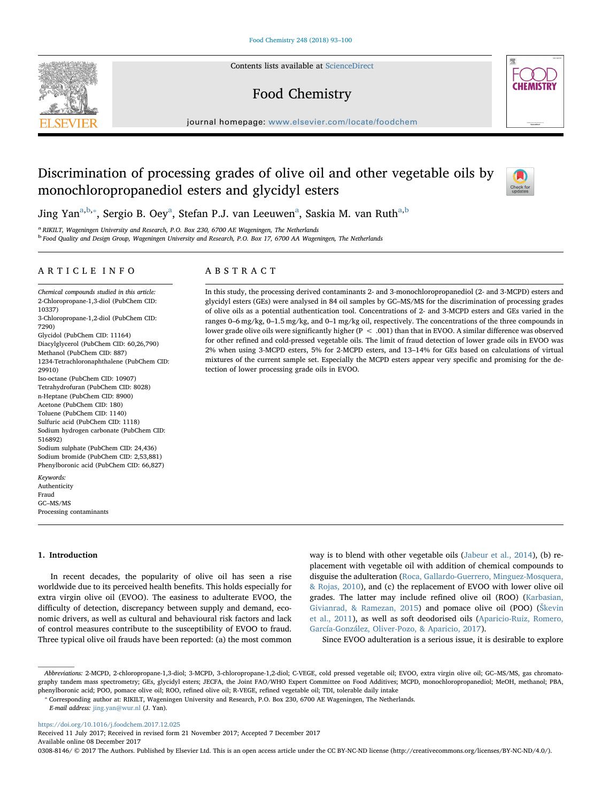Contents lists available at [ScienceDirect](http://www.sciencedirect.com/science/journal/03088146)

# Food Chemistry

journal homepage: [www.elsevier.com/locate/foodchem](https://www.elsevier.com/locate/foodchem)

# Discrimination of processing grades of olive oil and other vegetable oils by monochloropropanediol esters and glycidyl esters



<span id="page-0-1"></span><span id="page-0-0"></span><sup>a</sup> RIKILT, Wageningen University and Research, P.O. Box 230, 6700 AE Wageningen, The Netherlands <sup>b</sup> Food Quality and Design Group, Wageningen University and Research, P.O. Box 17, 6700 AA Wageningen, The Netherlands

# ARTICLE INFO

Chemical compounds studied in this article: 2-Chloropropane-1,3-diol (PubChem CID: 10337) 3-Chloropropane-1,2-diol (PubChem CID: 7290) Glycidol (PubChem CID: 11164) Diacylglycerol (PubChem CID: 60,26,790) Methanol (PubChem CID: 887) 1234-Tetrachloronaphthalene (PubChem CID: 29910) Iso-octane (PubChem CID: 10907) Tetrahydrofuran (PubChem CID: 8028) n-Heptane (PubChem CID: 8900) Acetone (PubChem CID: 180) Toluene (PubChem CID: 1140) Sulfuric acid (PubChem CID: 1118) Sodium hydrogen carbonate (PubChem CID: 516892) Sodium sulphate (PubChem CID: 24,436) Sodium bromide (PubChem CID: 2,53,881) Phenylboronic acid (PubChem CID: 66,827) Keywords:

Authenticity Fraud GC–MS/MS Processing contaminants

# 1. Introduction

In recent decades, the popularity of olive oil has seen a rise worldwide due to its perceived health benefits. This holds especially for extra virgin olive oil (EVOO). The easiness to adulterate EVOO, the difficulty of detection, discrepancy between supply and demand, economic drivers, as well as cultural and behavioural risk factors and lack of control measures contribute to the susceptibility of EVOO to fraud. Three typical olive oil frauds have been reported: (a) the most common

way is to blend with other vegetable oils [\(Jabeur et al., 2014\)](#page-6-0), (b) replacement with vegetable oil with addition of chemical compounds to disguise the adulteration [\(Roca, Gallardo-Guerrero, Minguez-Mosquera,](#page-6-1) [& Rojas, 2010\)](#page-6-1), and (c) the replacement of EVOO with lower olive oil grades. The latter may include refined olive oil (ROO) ([Karbasian,](#page-6-2) [Givianrad, & Ramezan, 2015](#page-6-2)) and pomace olive oil (POO) (Š[kevin](#page-6-3) [et al., 2011\)](#page-6-3), as well as soft deodorised oils ([Aparicio-Ruiz, Romero,](#page-6-4) [García-González, Oliver-Pozo, & Aparicio, 2017](#page-6-4)).

Since EVOO adulteration is a serious issue, it is desirable to explore

<https://doi.org/10.1016/j.foodchem.2017.12.025>

Received 11 July 2017; Received in revised form 21 November 2017; Accepted 7 December 2017 Available online 08 December 2017

0308-8146/ © 2017 The Authors. Published by Elsevier Ltd. This is an open access article under the CC BY-NC-ND license (http://creativecommons.org/licenses/BY-NC-ND/4.0/).



In this study, the processing derived contaminants 2- and 3-monochloropropanediol (2- and 3-MCPD) esters and glycidyl esters (GEs) were analysed in 84 oil samples by GC–MS/MS for the discrimination of processing grades of olive oils as a potential authentication tool. Concentrations of 2- and 3-MCPD esters and GEs varied in the ranges 0–6 mg/kg, 0–1.5 mg/kg, and 0–1 mg/kg oil, respectively. The concentrations of the three compounds in lower grade olive oils were significantly higher (P < .001) than that in EVOO. A similar difference was observed for other refined and cold-pressed vegetable oils. The limit of fraud detection of lower grade oils in EVOO was 2% when using 3-MCPD esters, 5% for 2-MCPD esters, and 13–14% for GEs based on calculations of virtual mixtures of the current sample set. Especially the MCPD esters appear very specific and promising for the detection of lower processing grade oils in EVOO.







Abbreviations: 2-MCPD, 2-chloropropane-1,3-diol; 3-MCPD, 3-chloropropane-1,2-diol; C-VEGE, cold pressed vegetable oil; EVOO, extra virgin olive oil; GC–MS/MS, gas chromatography tandem mass spectrometry; GEs, glycidyl esters; JECFA, the Joint FAO/WHO Expert Committee on Food Additives; MCPD, monochloropropanediol; MeOH, methanol; PBA, phenylboronic acid; POO, pomace olive oil; ROO, refined olive oil; R-VEGE, refined vegetable oil; TDI, tolerable daily intake

<span id="page-0-2"></span><sup>⁎</sup> Corresponding author at: RIKILT, Wageningen University and Research, P.O. Box 230, 6700 AE Wageningen, The Netherlands.

E-mail address: [jing.yan@wur.nl](mailto:jing.yan@wur.nl) (J. Yan).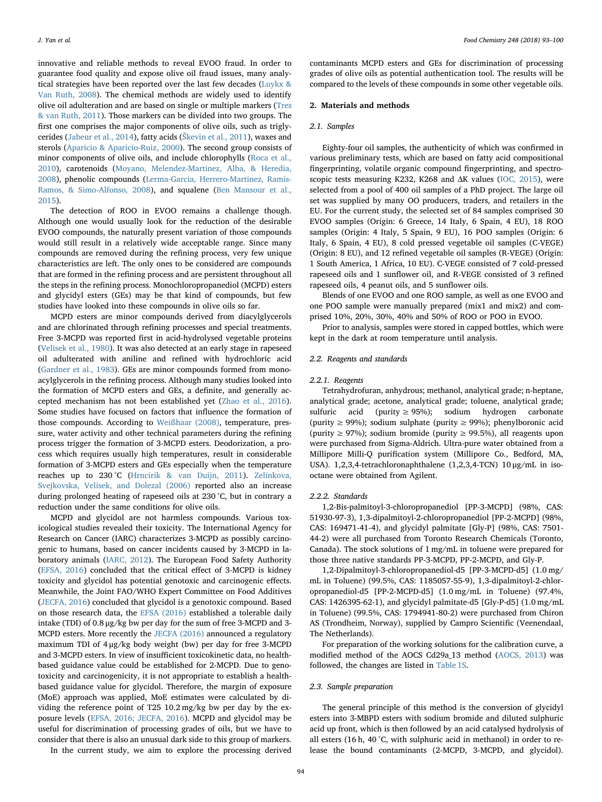innovative and reliable methods to reveal EVOO fraud. In order to guarantee food quality and expose olive oil fraud issues, many analytical strategies have been reported over the last few decades [\(Luykx &](#page-6-5) [Van Ruth, 2008\)](#page-6-5). The chemical methods are widely used to identify olive oil adulteration and are based on single or multiple markers ([Tres](#page-6-6) [& van Ruth, 2011](#page-6-6)). Those markers can be divided into two groups. The first one comprises the major components of olive oils, such as triglycerides [\(Jabeur et al., 2014](#page-6-0)), fatty acids (Š[kevin et al., 2011](#page-6-3)), waxes and sterols [\(Aparicio & Aparicio-Ruiz, 2000\)](#page-6-7). The second group consists of minor components of olive oils, and include chlorophylls [\(Roca et al.,](#page-6-1) [2010\)](#page-6-1), carotenoids [\(Moyano, Melendez-Martinez, Alba, & Heredia,](#page-6-8) [2008\)](#page-6-8), phenolic compounds [\(Lerma-Garcia, Herrero-Martinez, Ramis-](#page-6-9)[Ramos, & Simo-Alfonso, 2008](#page-6-9)), and squalene [\(Ben Mansour et al.,](#page-6-10) [2015\)](#page-6-10).

The detection of ROO in EVOO remains a challenge though. Although one would usually look for the reduction of the desirable EVOO compounds, the naturally present variation of those compounds would still result in a relatively wide acceptable range. Since many compounds are removed during the refining process, very few unique characteristics are left. The only ones to be considered are compounds that are formed in the refining process and are persistent throughout all the steps in the refining process. Monochloropropanediol (MCPD) esters and glycidyl esters (GEs) may be that kind of compounds, but few studies have looked into these compounds in olive oils so far.

MCPD esters are minor compounds derived from diacylglycerols and are chlorinated through refining processes and special treatments. Free 3-MCPD was reported first in acid-hydrolysed vegetable proteins ([Velisek et al., 1980](#page-6-11)). It was also detected at an early stage in rapeseed oil adulterated with aniline and refined with hydrochloric acid ([Gardner et al., 1983](#page-6-12)). GEs are minor compounds formed from monoacylglycerols in the refining process. Although many studies looked into the formation of MCPD esters and GEs, a definite, and generally accepted mechanism has not been established yet [\(Zhao et al., 2016](#page-7-0)). Some studies have focused on factors that influence the formation of those compounds. According to [Weißhaar \(2008\)](#page-7-1), temperature, pressure, water activity and other technical parameters during the refining process trigger the formation of 3-MCPD esters. Deodorization, a process which requires usually high temperatures, result in considerable formation of 3-MCPD esters and GEs especially when the temperature reaches up to 230 °C [\(Hrncirik & van Duijn, 2011\)](#page-6-13). [Zelinkova,](#page-7-2) [Svejkovska, Velisek, and Dolezal \(2006\)](#page-7-2) reported also an increase during prolonged heating of rapeseed oils at 230 °C, but in contrary a reduction under the same conditions for olive oils.

MCPD and glycidol are not harmless compounds. Various toxicological studies revealed their toxicity. The International Agency for Research on Cancer (IARC) characterizes 3-MCPD as possibly carcinogenic to humans, based on cancer incidents caused by 3-MCPD in laboratory animals ([IARC, 2012\)](#page-6-14). The European Food Safety Authority ([EFSA,](#page-6-15) 2016) concluded that the critical effect of 3-MCPD is kidney toxicity and glycidol has potential genotoxic and carcinogenic effects. Meanwhile, the Joint FAO/WHO Expert Committee on Food Additives ([JECFA, 2016](#page-6-16)) concluded that glycidol is a genotoxic compound. Based on those research data, the [EFSA \(2016\)](#page-6-15) established a tolerable daily intake (TDI) of 0.8 μg/kg bw per day for the sum of free 3-MCPD and 3- MCPD esters. More recently the [JECFA \(2016\)](#page-6-16) announced a regulatory maximum TDI of 4 μg/kg body weight (bw) per day for free 3-MCPD and 3-MCPD esters. In view of insufficient toxicokinetic data, no healthbased guidance value could be established for 2-MCPD. Due to genotoxicity and carcinogenicity, it is not appropriate to establish a healthbased guidance value for glycidol. Therefore, the margin of exposure (MoE) approach was applied, MoE estimates were calculated by dividing the reference point of T25 10.2 mg/kg bw per day by the exposure levels ([EFSA, 2016; JECFA, 2016\)](#page-6-15). MCPD and glycidol may be useful for discrimination of processing grades of oils, but we have to consider that there is also an unusual dark side to this group of markers.

In the current study, we aim to explore the processing derived

#### 2.1. Samples

Eighty-four oil samples, the authenticity of which was confirmed in various preliminary tests, which are based on fatty acid compositional fingerprinting, volatile organic compound fingerprinting, and spectroscopic tests measuring K232, K268 and ΔK values [\(IOC, 2015\)](#page-6-17), were selected from a pool of 400 oil samples of a PhD project. The large oil set was supplied by many OO producers, traders, and retailers in the EU. For the current study, the selected set of 84 samples comprised 30 EVOO samples (Origin: 6 Greece, 14 Italy, 6 Spain, 4 EU), 18 ROO samples (Origin: 4 Italy, 5 Spain, 9 EU), 16 POO samples (Origin: 6 Italy, 6 Spain, 4 EU), 8 cold pressed vegetable oil samples (C-VEGE) (Origin: 8 EU), and 12 refined vegetable oil samples (R-VEGE) (Origin: 1 South America, 1 Africa, 10 EU). C-VEGE consisted of 7 cold-pressed rapeseed oils and 1 sunflower oil, and R-VEGE consisted of 3 refined rapeseed oils, 4 peanut oils, and 5 sunflower oils.

contaminants MCPD esters and GEs for discrimination of processing grades of olive oils as potential authentication tool. The results will be compared to the levels of these compounds in some other vegetable oils.

Blends of one EVOO and one ROO sample, as well as one EVOO and one POO sample were manually prepared (mix1 and mix2) and comprised 10%, 20%, 30%, 40% and 50% of ROO or POO in EVOO.

Prior to analysis, samples were stored in capped bottles, which were kept in the dark at room temperature until analysis.

#### 2.2. Reagents and standards

#### 2.2.1. Reagents

Tetrahydrofuran, anhydrous; methanol, analytical grade; n-heptane, analytical grade; acetone, analytical grade; toluene, analytical grade; sulfuric acid (purity  $\geq 95\%$ ); sodium hydrogen carbonate (purity ≥ 99%); sodium sulphate (purity ≥ 99%); phenylboronic acid (purity  $\geq$  97%); sodium bromide (purity  $\geq$  99.5%), all reagents upon were purchased from Sigma-Aldrich. Ultra-pure water obtained from a Millipore Milli-Q purification system (Millipore Co., Bedford, MA, USA). 1,2,3,4-tetrachloronaphthalene (1,2,3,4-TCN) 10 μg/mL in isooctane were obtained from Agilent.

#### 2.2.2. Standards

1,2-Bis-palmitoyl-3-chloropropanediol [PP-3-MCPD] (98%, CAS: 51930-97-3), 1,3-dipalmitoyl-2-chloropropanediol [PP-2-MCPD] (98%, CAS: 169471-41-4), and glycidyl palmitate [Gly-P] (98%, CAS: 7501- 44-2) were all purchased from Toronto Research Chemicals (Toronto, Canada). The stock solutions of 1 mg/mL in toluene were prepared for those three native standards PP-3-MCPD, PP-2-MCPD, and Gly-P.

1,2-Dipalmitoyl-3-chloropropanediol-d5 [PP-3-MCPD-d5] (1.0 mg/ mL in Toluene) (99.5%, CAS: 1185057-55-9), 1,3-dipalmitoyl-2-chloropropanediol-d5 [PP-2-MCPD-d5] (1.0 mg/mL in Toluene) (97.4%, CAS: 1426395-62-1), and glycidyl palmitate-d5 [Gly-P-d5] (1.0 mg/mL in Toluene) (99.5%, CAS: 1794941-80-2) were purchased from Chiron AS (Trondheim, Norway), supplied by Campro Scientific (Veenendaal, The Netherlands).

For preparation of the working solutions for the calibration curve, a modified method of the AOCS Cd29a\_13 method [\(AOCS, 2013\)](#page-6-18) was followed, the changes are listed in Table 1S.

# 2.3. Sample preparation

The general principle of this method is the conversion of glycidyl esters into 3-MBPD esters with sodium bromide and diluted sulphuric acid up front, which is then followed by an acid catalysed hydrolysis of all esters (16 h, 40 °C, with sulphuric acid in methanol) in order to release the bound contaminants (2-MCPD, 3-MCPD, and glycidol).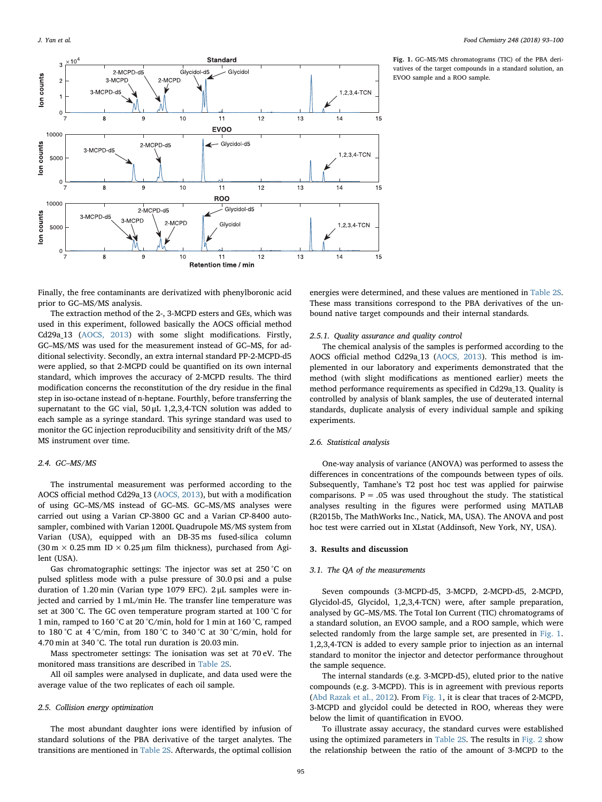<span id="page-2-0"></span>

Fig. 1. GC–MS/MS chromatograms (TIC) of the PBA derivatives of the target compounds in a standard solution, an EVOO sample and a ROO sample.

Finally, the free contaminants are derivatized with phenylboronic acid prior to GC–MS/MS analysis.

The extraction method of the 2-, 3-MCPD esters and GEs, which was used in this experiment, followed basically the AOCS official method Cd29a\_13 ([AOCS, 2013](#page-6-18)) with some slight modifications. Firstly, GC–MS/MS was used for the measurement instead of GC–MS, for additional selectivity. Secondly, an extra internal standard PP-2-MCPD-d5 were applied, so that 2-MCPD could be quantified on its own internal standard, which improves the accuracy of 2-MCPD results. The third modification concerns the reconstitution of the dry residue in the final step in iso-octane instead of n-heptane. Fourthly, before transferring the supernatant to the GC vial, 50 μL 1,2,3,4-TCN solution was added to each sample as a syringe standard. This syringe standard was used to monitor the GC injection reproducibility and sensitivity drift of the MS/ MS instrument over time.

# 2.4. GC–MS/MS

The instrumental measurement was performed according to the AOCS official method Cd29a\_13 [\(AOCS, 2013](#page-6-18)), but with a modification of using GC–MS/MS instead of GC–MS. GC–MS/MS analyses were carried out using a Varian CP-3800 GC and a Varian CP-8400 autosampler, combined with Varian 1200L Quadrupole MS/MS system from Varian (USA), equipped with an DB-35 ms fused-silica column (30 m  $\times$  0.25 mm ID  $\times$  0.25 µm film thickness), purchased from Agilent (USA).

Gas chromatographic settings: The injector was set at 250 °C on pulsed splitless mode with a pulse pressure of 30.0 psi and a pulse duration of 1.20 min (Varian type 1079 EFC). 2 μL samples were injected and carried by 1 mL/min He. The transfer line temperature was set at 300 °C. The GC oven temperature program started at 100 °C for 1 min, ramped to 160 °C at 20 °C/min, hold for 1 min at 160 °C, ramped to 180 °C at 4 °C/min, from 180 °C to 340 °C at 30 °C/min, hold for 4.70 min at 340 °C. The total run duration is 20.03 min.

Mass spectrometer settings: The ionisation was set at 70 eV. The monitored mass transitions are described in Table 2S.

All oil samples were analysed in duplicate, and data used were the average value of the two replicates of each oil sample.

### 2.5. Collision energy optimization

The most abundant daughter ions were identified by infusion of standard solutions of the PBA derivative of the target analytes. The transitions are mentioned in Table 2S. Afterwards, the optimal collision

energies were determined, and these values are mentioned in Table 2S. These mass transitions correspond to the PBA derivatives of the unbound native target compounds and their internal standards.

### 2.5.1. Quality assurance and quality control

The chemical analysis of the samples is performed according to the AOCS official method Cd29a\_13 [\(AOCS, 2013\)](#page-6-18). This method is implemented in our laboratory and experiments demonstrated that the method (with slight modifications as mentioned earlier) meets the method performance requirements as specified in Cd29a\_13. Quality is controlled by analysis of blank samples, the use of deuterated internal standards, duplicate analysis of every individual sample and spiking experiments.

# 2.6. Statistical analysis

One-way analysis of variance (ANOVA) was performed to assess the differences in concentrations of the compounds between types of oils. Subsequently, Tamhane's T2 post hoc test was applied for pairwise comparisons.  $P = .05$  was used throughout the study. The statistical analyses resulting in the figures were performed using MATLAB (R2015b, The MathWorks Inc., Natick, MA, USA). The ANOVA and post hoc test were carried out in XLstat (Addinsoft, New York, NY, USA).

#### 3. Results and discussion

#### 3.1. The QA of the measurements

Seven compounds (3-MCPD-d5, 3-MCPD, 2-MCPD-d5, 2-MCPD, Glycidol-d5, Glycidol, 1,2,3,4-TCN) were, after sample preparation, analysed by GC–MS/MS. The Total Ion Current (TIC) chromatograms of a standard solution, an EVOO sample, and a ROO sample, which were selected randomly from the large sample set, are presented in [Fig. 1](#page-2-0). 1,2,3,4-TCN is added to every sample prior to injection as an internal standard to monitor the injector and detector performance throughout the sample sequence.

The internal standards (e.g. 3-MCPD-d5), eluted prior to the native compounds (e.g. 3-MCPD). This is in agreement with previous reports ([Abd Razak et al., 2012\)](#page-6-19). From [Fig. 1](#page-2-0), it is clear that traces of 2-MCPD, 3-MCPD and glycidol could be detected in ROO, whereas they were below the limit of quantification in EVOO.

To illustrate assay accuracy, the standard curves were established using the optimized parameters in Table 2S. The results in [Fig. 2](#page-3-0) show the relationship between the ratio of the amount of 3-MCPD to the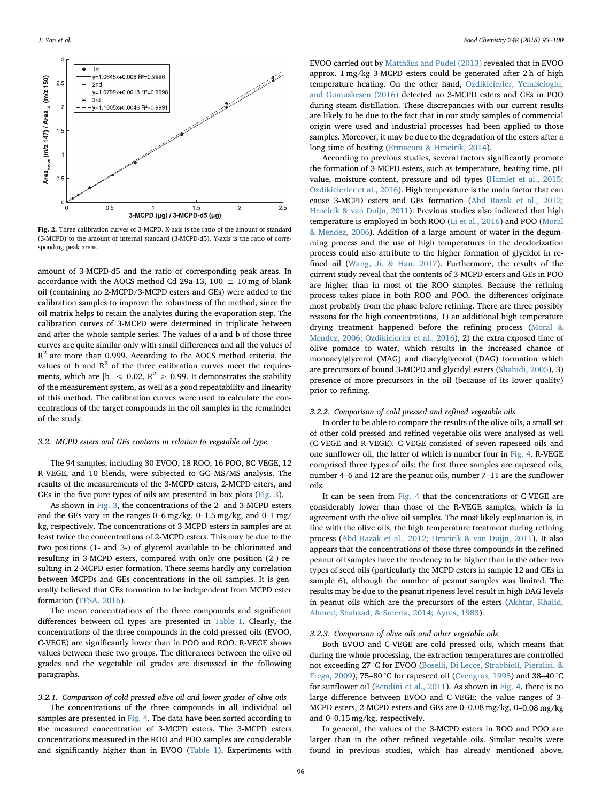<span id="page-3-0"></span>

Fig. 2. Three calibration curves of 3-MCPD. X-axis is the ratio of the amount of standard (3-MCPD) to the amount of internal standard (3-MCPD-d5). Y-axis is the ratio of corresponding peak areas.

amount of 3-MCPD-d5 and the ratio of corresponding peak areas. In accordance with the AOCS method Cd 29a-13, 100  $\pm$  10 mg of blank oil (containing no 2-MCPD/3-MCPD esters and GEs) were added to the calibration samples to improve the robustness of the method, since the oil matrix helps to retain the analytes during the evaporation step. The calibration curves of 3-MCPD were determined in triplicate between and after the whole sample series. The values of a and b of those three curves are quite similar only with small differences and all the values of  $R<sup>2</sup>$  are more than 0.999. According to the AOCS method criteria, the values of b and  $R^2$  of the three calibration curves meet the requirements, which are  $|b| < 0.02$ ,  $R^2 > 0.99$ . It demonstrates the stability of the measurement system, as well as a good repeatability and linearity of this method. The calibration curves were used to calculate the concentrations of the target compounds in the oil samples in the remainder of the study.

# 3.2. MCPD esters and GEs contents in relation to vegetable oil type

The 94 samples, including 30 EVOO, 18 ROO, 16 POO, 8C-VEGE, 12 R-VEGE, and 10 blends, were subjected to GC–MS/MS analysis. The results of the measurements of the 3-MCPD esters, 2-MCPD esters, and GEs in the five pure types of oils are presented in box plots ([Fig. 3\)](#page-4-0).

As shown in [Fig. 3](#page-4-0), the concentrations of the 2- and 3-MCPD esters and the GEs vary in the ranges 0–6 mg/kg, 0–1.5 mg/kg, and 0–1 mg/ kg, respectively. The concentrations of 3-MCPD esters in samples are at least twice the concentrations of 2-MCPD esters. This may be due to the two positions (1- and 3-) of glycerol available to be chlorinated and resulting in 3-MCPD esters, compared with only one position (2-) resulting in 2-MCPD ester formation. There seems hardly any correlation between MCPDs and GEs concentrations in the oil samples. It is generally believed that GEs formation to be independent from MCPD ester formation [\(EFSA, 2016](#page-6-15)).

The mean concentrations of the three compounds and significant differences between oil types are presented in [Table 1](#page-4-1). Clearly, the concentrations of the three compounds in the cold-pressed oils (EVOO, C-VEGE) are significantly lower than in POO and ROO. R-VEGE shows values between these two groups. The differences between the olive oil grades and the vegetable oil grades are discussed in the following paragraphs.

# 3.2.1. Comparison of cold pressed olive oil and lower grades of olive oils

The concentrations of the three compounds in all individual oil samples are presented in [Fig. 4](#page-5-0). The data have been sorted according to the measured concentration of 3-MCPD esters. The 3-MCPD esters concentrations measured in the ROO and POO samples are considerable and significantly higher than in EVOO ([Table 1\)](#page-4-1). Experiments with EVOO carried out by [Matthäus and Pudel \(2013\)](#page-6-20) revealed that in EVOO approx. 1 mg/kg 3-MCPD esters could be generated after 2 h of high temperature heating. On the other hand, [Ozdikicierler, Yemiscioglu,](#page-6-21) [and Gumuskesen \(2016\)](#page-6-21) detected no 3-MCPD esters and GEs in POO during steam distillation. These discrepancies with our current results are likely to be due to the fact that in our study samples of commercial origin were used and industrial processes had been applied to those samples. Moreover, it may be due to the degradation of the esters after a long time of heating ([Ermacora & Hrncirik, 2014\)](#page-6-22).

According to previous studies, several factors significantly promote the formation of 3-MCPD esters, such as temperature, heating time, pH value, moisture content, pressure and oil types [\(Hamlet et al., 2015;](#page-6-23) [Ozdikicierler et al., 2016\)](#page-6-23). High temperature is the main factor that can cause 3-MCPD esters and GEs formation [\(Abd Razak et al., 2012;](#page-6-19) [Hrncirik & van Duijn, 2011\)](#page-6-19). Previous studies also indicated that high temperature is employed in both ROO ([Li et al., 2016\)](#page-6-24) and POO ([Moral](#page-6-25) [& Mendez, 2006\)](#page-6-25). Addition of a large amount of water in the degumming process and the use of high temperatures in the deodorization process could also attribute to the higher formation of glycidol in refined oil (Wang, [Ji, & Han, 2017\)](#page-7-3). Furthermore, the results of the current study reveal that the contents of 3-MCPD esters and GEs in POO are higher than in most of the ROO samples. Because the refining process takes place in both ROO and POO, the differences originate most probably from the phase before refining. There are three possibly reasons for the high concentrations, 1) an additional high temperature drying treatment happened before the refining process ([Moral &](#page-6-25) [Mendez, 2006; Ozdikicierler et al., 2016\)](#page-6-25), 2) the extra exposed time of olive pomace to water, which results in the increased chance of monoacylglycerol (MAG) and diacylglycerol (DAG) formation which are precursors of bound 3-MCPD and glycidyl esters ([Shahidi, 2005\)](#page-6-26), 3) presence of more precursors in the oil (because of its lower quality) prior to refining.

# 3.2.2. Comparison of cold pressed and refined vegetable oils

In order to be able to compare the results of the olive oils, a small set of other cold pressed and refined vegetable oils were analysed as well (C-VEGE and R-VEGE). C-VEGE consisted of seven rapeseed oils and one sunflower oil, the latter of which is number four in [Fig. 4](#page-5-0). R-VEGE comprised three types of oils: the first three samples are rapeseed oils, number 4–6 and 12 are the peanut oils, number 7–11 are the sunflower oils.

It can be seen from [Fig. 4](#page-5-0) that the concentrations of C-VEGE are considerably lower than those of the R-VEGE samples, which is in agreement with the olive oil samples. The most likely explanation is, in line with the olive oils, the high temperature treatment during refining process ([Abd Razak et al., 2012; Hrncirik & van Duijn, 2011\)](#page-6-19). It also appears that the concentrations of those three compounds in the refined peanut oil samples have the tendency to be higher than in the other two types of seed oils (particularly the MCPD esters in sample 12 and GEs in sample 6), although the number of peanut samples was limited. The results may be due to the peanut ripeness level result in high DAG levels in peanut oils which are the precursors of the esters ([Akhtar, Khalid,](#page-6-27) [Ahmed, Shahzad, & Suleria, 2014; Ayres, 1983](#page-6-27)).

# 3.2.3. Comparison of olive oils and other vegetable oils

Both EVOO and C-VEGE are cold pressed oils, which means that during the whole processing, the extraction temperatures are controlled not exceeding 27 °C for EVOO ([Boselli, Di Lecce, Strabbioli, Pieralisi, &](#page-6-28) [Frega, 2009\)](#page-6-28), 75–80 °C for rapeseed oil ([Cvengros, 1995\)](#page-6-29) and 38–40 °C for sunflower oil [\(Bendini et al., 2011](#page-6-30)). As shown in [Fig. 4](#page-5-0), there is no large difference between EVOO and C-VEGE: the value ranges of 3- MCPD esters, 2-MCPD esters and GEs are 0–0.08 mg/kg, 0–0.08 mg/kg and 0–0.15 mg/kg, respectively.

In general, the values of the 3-MCPD esters in ROO and POO are larger than in the other refined vegetable oils. Similar results were found in previous studies, which has already mentioned above,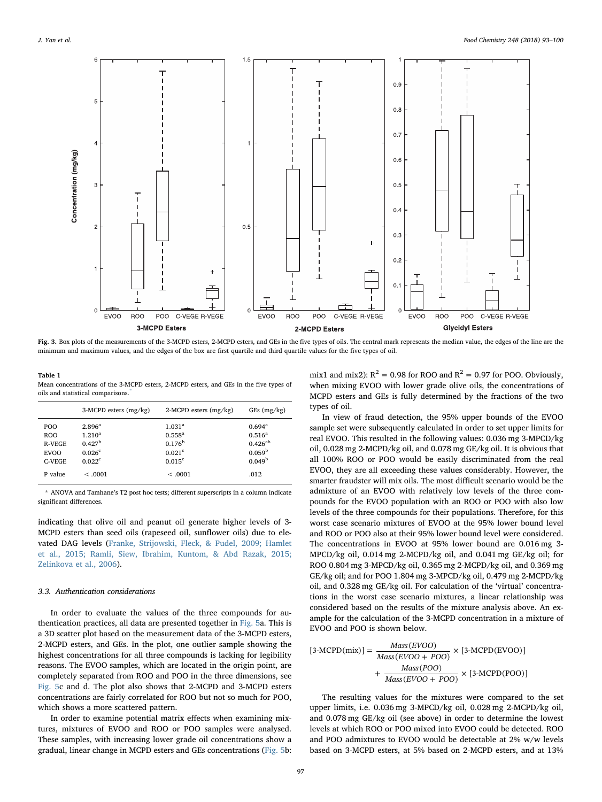<span id="page-4-0"></span>![](_page_4_Figure_2.jpeg)

Fig. 3. Box plots of the measurements of the 3-MCPD esters, 2-MCPD esters, and GEs in the five types of oils. The central mark represents the median value, the edges of the line are the minimum and maximum values, and the edges of the box are first quartile and third quartile values for the five types of oil.

<span id="page-4-1"></span>Table 1

Mean concentrations of the 3-MCPD esters, 2-MCPD esters, and GEs in the five types of oils and statistical comparisons.[\\*](#page-4-2)

|                                                             | $3-MCPD$ esters $(mg/kg)$                                                                     | $2-MCPD$ esters $(mg/kg)$                                                                      | GEs (mg/kg)                                                                              |
|-------------------------------------------------------------|-----------------------------------------------------------------------------------------------|------------------------------------------------------------------------------------------------|------------------------------------------------------------------------------------------|
| POO<br><b>ROO</b><br><b>R-VEGE</b><br><b>EVOO</b><br>C-VEGE | $2.896^{\rm a}$<br>$1.210^{a}$<br>0.427 <sup>b</sup><br>0.026 <sup>c</sup><br>$0.022^{\rm c}$ | $1.031^{a}$<br>$0.558^{a}$<br>0.176 <sup>b</sup><br>$0.021$ <sup>c</sup><br>0.015 <sup>c</sup> | $0.694^{\rm a}$<br>$0.516^a$<br>$0.426^{ab}$<br>0.059 <sup>b</sup><br>0.049 <sup>b</sup> |
| P value                                                     | < .0001                                                                                       | < 0.001                                                                                        | .012                                                                                     |

<span id="page-4-2"></span>\* ANOVA and Tamhane's T2 post hoc tests; different superscripts in a column indicate significant differences.

indicating that olive oil and peanut oil generate higher levels of 3- MCPD esters than seed oils (rapeseed oil, sunflower oils) due to elevated DAG levels ([Franke, Strijowski, Fleck, & Pudel, 2009; Hamlet](#page-6-31) [et al., 2015; Ramli, Siew, Ibrahim, Kuntom, & Abd Razak, 2015;](#page-6-31) [Zelinkova et al., 2006\)](#page-6-31).

### 3.3. Authentication considerations

In order to evaluate the values of the three compounds for authentication practices, all data are presented together in [Fig. 5](#page-5-1)a. This is a 3D scatter plot based on the measurement data of the 3-MCPD esters, 2-MCPD esters, and GEs. In the plot, one outlier sample showing the highest concentrations for all three compounds is lacking for legibility reasons. The EVOO samples, which are located in the origin point, are completely separated from ROO and POO in the three dimensions, see [Fig. 5c](#page-5-1) and d. The plot also shows that 2-MCPD and 3-MCPD esters concentrations are fairly correlated for ROO but not so much for POO, which shows a more scattered pattern.

In order to examine potential matrix effects when examining mixtures, mixtures of EVOO and ROO or POO samples were analysed. These samples, with increasing lower grade oil concentrations show a gradual, linear change in MCPD esters and GEs concentrations [\(Fig. 5b](#page-5-1):

mix1 and mix2):  $R^2 = 0.98$  for ROO and  $R^2 = 0.97$  for POO. Obviously, when mixing EVOO with lower grade olive oils, the concentrations of MCPD esters and GEs is fully determined by the fractions of the two types of oil.

In view of fraud detection, the 95% upper bounds of the EVOO sample set were subsequently calculated in order to set upper limits for real EVOO. This resulted in the following values: 0.036 mg 3-MPCD/kg oil, 0.028 mg 2-MCPD/kg oil, and 0.078 mg GE/kg oil. It is obvious that all 100% ROO or POO would be easily discriminated from the real EVOO, they are all exceeding these values considerably. However, the smarter fraudster will mix oils. The most difficult scenario would be the admixture of an EVOO with relatively low levels of the three compounds for the EVOO population with an ROO or POO with also low levels of the three compounds for their populations. Therefore, for this worst case scenario mixtures of EVOO at the 95% lower bound level and ROO or POO also at their 95% lower bound level were considered. The concentrations in EVOO at 95% lower bound are 0.016 mg 3- MPCD/kg oil, 0.014 mg 2-MCPD/kg oil, and 0.041 mg GE/kg oil; for ROO 0.804 mg 3-MPCD/kg oil, 0.365 mg 2-MCPD/kg oil, and 0.369 mg GE/kg oil; and for POO 1.804 mg 3-MPCD/kg oil, 0.479 mg 2-MCPD/kg oil, and 0.328 mg GE/kg oil. For calculation of the 'virtual' concentrations in the worst case scenario mixtures, a linear relationship was considered based on the results of the mixture analysis above. An example for the calculation of the 3-MCPD concentration in a mixture of EVOO and POO is shown below.

$$
[3-MCPD(mix)] = \frac{Mass(EVOO)}{Mass(EVOO + POO)} \times [3-MCPD(EVOO)] + \frac{Mass(POO)}{Mass(EVOO + POO)} \times [3-MCPD(POO)]
$$

The resulting values for the mixtures were compared to the set upper limits, i.e. 0.036 mg 3-MPCD/kg oil, 0.028 mg 2-MCPD/kg oil, and 0.078 mg GE/kg oil (see above) in order to determine the lowest levels at which ROO or POO mixed into EVOO could be detected. ROO and POO admixtures to EVOO would be detectable at 2% w/w levels based on 3-MCPD esters, at 5% based on 2-MCPD esters, and at 13%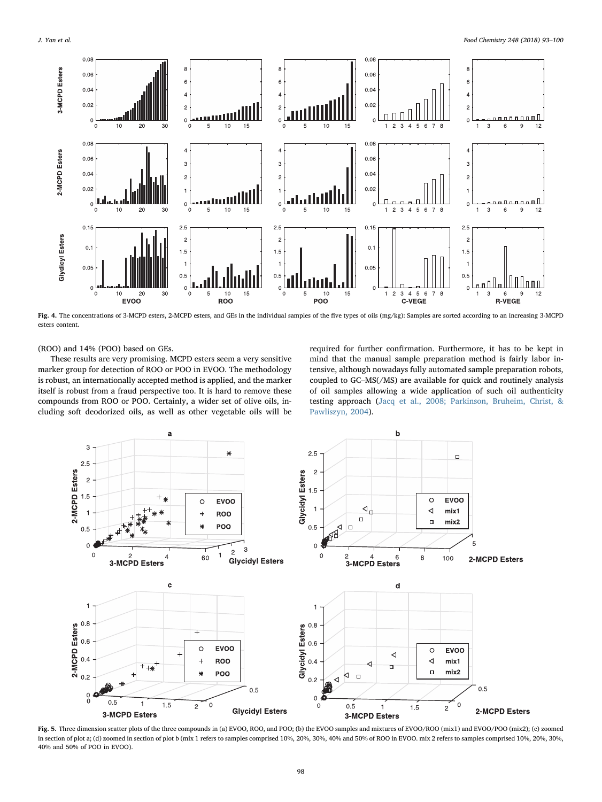<span id="page-5-0"></span>![](_page_5_Figure_2.jpeg)

Fig. 4. The concentrations of 3-MCPD esters, 2-MCPD esters, and GEs in the individual samples of the five types of oils (mg/kg): Samples are sorted according to an increasing 3-MCPD esters content.

(ROO) and 14% (POO) based on GEs.

These results are very promising. MCPD esters seem a very sensitive marker group for detection of ROO or POO in EVOO. The methodology is robust, an internationally accepted method is applied, and the marker itself is robust from a fraud perspective too. It is hard to remove these compounds from ROO or POO. Certainly, a wider set of olive oils, including soft deodorized oils, as well as other vegetable oils will be required for further confirmation. Furthermore, it has to be kept in mind that the manual sample preparation method is fairly labor intensive, although nowadays fully automated sample preparation robots, coupled to GC–MS(/MS) are available for quick and routinely analysis of oil samples allowing a wide application of such oil authenticity testing approach ([Jacq et al., 2008; Parkinson, Bruheim, Christ, &](#page-6-32) [Pawliszyn, 2004\)](#page-6-32).

<span id="page-5-1"></span>![](_page_5_Figure_7.jpeg)

Fig. 5. Three dimension scatter plots of the three compounds in (a) EVOO, ROO, and POO; (b) the EVOO samples and mixtures of EVOO/ROO (mix1) and EVOO/POO (mix2); (c) zoomed in section of plot a; (d) zoomed in section of plot b (mix 1 refers to samples comprised 10%, 20%, 30%, 40% and 50% of ROO in EVOO. mix 2 refers to samples comprised 10%, 20%, 30%, 40% and 50% of POO in EVOO).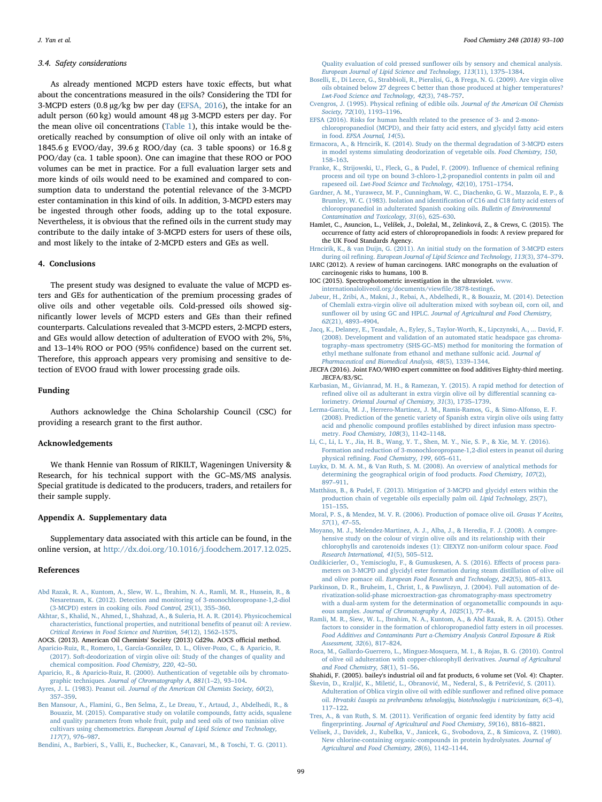#### 3.4. Safety considerations

As already mentioned MCPD esters have toxic effects, but what about the concentrations measured in the oils? Considering the TDI for 3-MCPD esters (0.8 µg/kg bw per day ([EFSA, 2016](#page-6-15)), the intake for an adult person (60 kg) would amount 48 µg 3-MCPD esters per day. For the mean olive oil concentrations [\(Table 1](#page-4-1)), this intake would be theoretically reached by consumption of olive oil only with an intake of 1845.6 g EVOO/day, 39.6 g ROO/day (ca. 3 table spoons) or 16.8 g POO/day (ca. 1 table spoon). One can imagine that these ROO or POO volumes can be met in practice. For a full evaluation larger sets and more kinds of oils would need to be examined and compared to consumption data to understand the potential relevance of the 3-MCPD ester contamination in this kind of oils. In addition, 3-MCPD esters may be ingested through other foods, adding up to the total exposure. Nevertheless, it is obvious that the refined oils in the current study may contribute to the daily intake of 3-MCPD esters for users of these oils, and most likely to the intake of 2-MCPD esters and GEs as well.

#### 4. Conclusions

The present study was designed to evaluate the value of MCPD esters and GEs for authentication of the premium processing grades of olive oils and other vegetable oils. Cold-pressed oils showed significantly lower levels of MCPD esters and GEs than their refined counterparts. Calculations revealed that 3-MCPD esters, 2-MCPD esters, and GEs would allow detection of adulteration of EVOO with 2%, 5%, and 13–14% ROO or POO (95% confidence) based on the current set. Therefore, this approach appears very promising and sensitive to detection of EVOO fraud with lower processing grade oils.

# Funding

Authors acknowledge the China Scholarship Council (CSC) for providing a research grant to the first author.

# Acknowledgements

We thank Hennie van Rossum of RIKILT, Wageningen University & Research, for his technical support with the GC–MS/MS analysis. Special gratitude is dedicated to the producers, traders, and retailers for their sample supply.

# Appendix A. Supplementary data

Supplementary data associated with this article can be found, in the online version, at <http://dx.doi.org/10.1016/j.foodchem.2017.12.025>.

#### References

- <span id="page-6-19"></span>[Abd Razak, R. A., Kuntom, A., Slew, W. L., Ibrahim, N. A., Ramli, M. R., Hussein, R., &](http://refhub.elsevier.com/S0308-8146(17)31964-7/h0005) [Nesaretnam, K. \(2012\). Detection and monitoring of 3-monochloropropane-1,2-diol](http://refhub.elsevier.com/S0308-8146(17)31964-7/h0005) [\(3-MCPD\) esters in cooking oils.](http://refhub.elsevier.com/S0308-8146(17)31964-7/h0005) Food Control, 25(1), 355–360.
- <span id="page-6-27"></span>[Akhtar, S., Khalid, N., Ahmed, I., Shahzad, A., & Suleria, H. A. R. \(2014\). Physicochemical](http://refhub.elsevier.com/S0308-8146(17)31964-7/h0010) [characteristics, functional properties, and nutritional bene](http://refhub.elsevier.com/S0308-8146(17)31964-7/h0010)fits of peanut oil: A review. [Critical Reviews in Food Science and Nutrition, 54](http://refhub.elsevier.com/S0308-8146(17)31964-7/h0010)(12), 1562–1575.
- <span id="page-6-18"></span><span id="page-6-4"></span>AOCS. (2013). American Oil Chemists' Society (2013) Cd29a. AOCS official method. [Aparicio-Ruiz, R., Romero, I., García-González, D. L., Oliver-Pozo, C., & Aparicio, R.](http://refhub.elsevier.com/S0308-8146(17)31964-7/h0020) [\(2017\). Soft-deodorization of virgin olive oil: Study of the changes of quality and](http://refhub.elsevier.com/S0308-8146(17)31964-7/h0020)
- <span id="page-6-7"></span>[chemical composition.](http://refhub.elsevier.com/S0308-8146(17)31964-7/h0020) Food Chemistry, 220, 42–50. [Aparicio, R., & Aparicio-Ruiz, R. \(2000\). Authentication of vegetable oils by chromato](http://refhub.elsevier.com/S0308-8146(17)31964-7/h0025)graphic techniques. [Journal of Chromatography A, 881](http://refhub.elsevier.com/S0308-8146(17)31964-7/h0025)(1–2), 93–104.
- Ayres, J. L. (1983). Peanut oil. [Journal of the American Oil Chemists Society, 60](http://refhub.elsevier.com/S0308-8146(17)31964-7/h0030)(2), 357–[359](http://refhub.elsevier.com/S0308-8146(17)31964-7/h0030).
- <span id="page-6-10"></span>[Ben Mansour, A., Flamini, G., Ben Selma, Z., Le Dreau, Y., Artaud, J., Abdelhedi, R., &](http://refhub.elsevier.com/S0308-8146(17)31964-7/h0035) [Bouaziz, M. \(2015\). Comparative study on volatile compounds, fatty acids, squalene](http://refhub.elsevier.com/S0308-8146(17)31964-7/h0035) [and quality parameters from whole fruit, pulp and seed oils of two tunisian olive](http://refhub.elsevier.com/S0308-8146(17)31964-7/h0035) cultivars using chemometrics. [European Journal of Lipid Science and Technology,](http://refhub.elsevier.com/S0308-8146(17)31964-7/h0035) 117[\(7\), 976](http://refhub.elsevier.com/S0308-8146(17)31964-7/h0035)–987.

<span id="page-6-30"></span>[Bendini, A., Barbieri, S., Valli, E., Buchecker, K., Canavari, M., & Toschi, T. G. \(2011\).](http://refhub.elsevier.com/S0308-8146(17)31964-7/h0040)

Quality evaluation of cold pressed sunfl[ower oils by sensory and chemical analysis.](http://refhub.elsevier.com/S0308-8146(17)31964-7/h0040) [European Journal of Lipid Science and Technology, 113](http://refhub.elsevier.com/S0308-8146(17)31964-7/h0040)(11), 1375–1384.

- <span id="page-6-28"></span>[Boselli, E., Di Lecce, G., Strabbioli, R., Pieralisi, G., & Frega, N. G. \(2009\). Are virgin olive](http://refhub.elsevier.com/S0308-8146(17)31964-7/h0045) [oils obtained below 27 degrees C better than those produced at higher temperatures?](http://refhub.elsevier.com/S0308-8146(17)31964-7/h0045) [Lwt-Food Science and Technology, 42](http://refhub.elsevier.com/S0308-8146(17)31964-7/h0045)(3), 748–757.
- <span id="page-6-29"></span>Cvengros, J. (1995). Physical refining of edible oils. [Journal of the American Oil Chemists](http://refhub.elsevier.com/S0308-8146(17)31964-7/h0050) Society, 72[\(10\), 1193](http://refhub.elsevier.com/S0308-8146(17)31964-7/h0050)–1196.
- <span id="page-6-15"></span>[EFSA \(2016\). Risks for human health related to the presence of 3- and 2-mono](http://refhub.elsevier.com/S0308-8146(17)31964-7/h0055)[chloropropanediol \(MCPD\), and their fatty acid esters, and glycidyl fatty acid esters](http://refhub.elsevier.com/S0308-8146(17)31964-7/h0055) in food. [EFSA Journal, 14](http://refhub.elsevier.com/S0308-8146(17)31964-7/h0055)(5).
- <span id="page-6-22"></span>[Ermacora, A., & Hrncirik, K. \(2014\). Study on the thermal degradation of 3-MCPD esters](http://refhub.elsevier.com/S0308-8146(17)31964-7/h0060) [in model systems simulating deodorization of vegetable oils.](http://refhub.elsevier.com/S0308-8146(17)31964-7/h0060) Food Chemistry, 150, 158–[163](http://refhub.elsevier.com/S0308-8146(17)31964-7/h0060).
- <span id="page-6-31"></span>[Franke, K., Strijowski, U., Fleck, G., & Pudel, F. \(2009\). In](http://refhub.elsevier.com/S0308-8146(17)31964-7/h0065)fluence of chemical refining [process and oil type on bound 3-chloro-1,2-propanediol contents in palm oil and](http://refhub.elsevier.com/S0308-8146(17)31964-7/h0065) rapeseed oil. [Lwt-Food Science and Technology, 42](http://refhub.elsevier.com/S0308-8146(17)31964-7/h0065)(10), 1751–1754.
- <span id="page-6-12"></span>Gardner, [A. M., Yurawecz, M. P., Cunningham, W. C., Diachenko, G. W., Mazzola, E. P., &](http://refhub.elsevier.com/S0308-8146(17)31964-7/h0070) [Brumley, W. C. \(1983\). Isolation and identi](http://refhub.elsevier.com/S0308-8146(17)31964-7/h0070)fication of C16 and C18 fatty acid esters of [chloropropanediol in adulterated Spanish cooking oils.](http://refhub.elsevier.com/S0308-8146(17)31964-7/h0070) Bulletin of Environmental [Contamination and Toxicology, 31](http://refhub.elsevier.com/S0308-8146(17)31964-7/h0070)(6), 625–630.
- <span id="page-6-23"></span>Hamlet, C., Asuncion, L., Velíšek, J., Doležal, M., Zelinková, Z., & Crews, C. (2015). The occurrence of fatty acid esters of chloropropanediols in foods: A review prepared for the UK Food Standards Agency.
- <span id="page-6-13"></span>[Hrncirik, K., & van Duijn, G. \(2011\). An initial study on the formation of 3-MCPD esters](http://refhub.elsevier.com/S0308-8146(17)31964-7/h0080) during oil refining. [European Journal of Lipid Science and Technology, 113](http://refhub.elsevier.com/S0308-8146(17)31964-7/h0080)(3), 374–379.
- <span id="page-6-14"></span>IARC (2012). A review of human carcinogens. IARC monographs on the evaluation of carcinogenic risks to humans, 100 B.
- <span id="page-6-17"></span>IOC (2015). Spectrophotometric investigation in the ultraviolet. [www.](http://www.internationaloliveoil.org/documents/viewfile/3878-testing6) [internationaloliveoil.org/documents/view](http://www.internationaloliveoil.org/documents/viewfile/3878-testing6)file/3878-testing6.
- <span id="page-6-0"></span>[Jabeur, H., Zribi, A., Makni, J., Rebai, A., Abdelhedi, R., & Bouaziz, M. \(2014\). Detection](http://refhub.elsevier.com/S0308-8146(17)31964-7/h0095) [of Chemlali extra-virgin olive oil adulteration mixed with soybean oil, corn oil, and](http://refhub.elsevier.com/S0308-8146(17)31964-7/h0095) sunflower oil by using GC and HPLC. [Journal of Agricultural and Food Chemistry,](http://refhub.elsevier.com/S0308-8146(17)31964-7/h0095) 62[\(21\), 4893](http://refhub.elsevier.com/S0308-8146(17)31964-7/h0095)–4904.
- <span id="page-6-32"></span>[Jacq, K., Delaney, E., Teasdale, A., Eyley, S., Taylor-Worth, K., Lipczynski, A., ... David, F.](http://refhub.elsevier.com/S0308-8146(17)31964-7/h0100) [\(2008\). Development and validation of an automated static headspace gas chroma](http://refhub.elsevier.com/S0308-8146(17)31964-7/h0100)tography–mass spectrometry (SHS-GC–[MS\) method for monitoring the formation of](http://refhub.elsevier.com/S0308-8146(17)31964-7/h0100) [ethyl methane sulfonate from ethanol and methane sulfonic acid.](http://refhub.elsevier.com/S0308-8146(17)31964-7/h0100) Journal of [Pharmaceutical and Biomedical Analysis, 48](http://refhub.elsevier.com/S0308-8146(17)31964-7/h0100)(5), 1339–1344.
- <span id="page-6-16"></span>JECFA (2016). Joint FAO/WHO expert committee on food additives Eighty-third meeting. JECFA/83/SC.
- <span id="page-6-2"></span>[Karbasian, M., Givianrad, M. H., & Ramezan, Y. \(2015\). A rapid method for detection of](http://refhub.elsevier.com/S0308-8146(17)31964-7/h0110) refi[ned olive oil as adulterant in extra virgin olive oil by di](http://refhub.elsevier.com/S0308-8146(17)31964-7/h0110)fferential scanning calorimetry. [Oriental Journal of Chemistry, 31](http://refhub.elsevier.com/S0308-8146(17)31964-7/h0110)(3), 1735–1739.
- <span id="page-6-9"></span>[Lerma-Garcia, M. J., Herrero-Martinez, J. M., Ramis-Ramos, G., & Simo-Alfonso, E. F.](http://refhub.elsevier.com/S0308-8146(17)31964-7/h0115) [\(2008\). Prediction of the genetic variety of Spanish extra virgin olive oils using fatty](http://refhub.elsevier.com/S0308-8146(17)31964-7/h0115) acid and phenolic compound profi[les established by direct infusion mass spectro](http://refhub.elsevier.com/S0308-8146(17)31964-7/h0115)metry. [Food Chemistry, 108](http://refhub.elsevier.com/S0308-8146(17)31964-7/h0115)(3), 1142–1148.
- <span id="page-6-24"></span>[Li, C., Li, L. Y., Jia, H. B., Wang, Y. T., Shen, M. Y., Nie, S. P., & Xie, M. Y. \(2016\).](http://refhub.elsevier.com/S0308-8146(17)31964-7/h0120) [Formation and reduction of 3-monochloropropane-1,2-diol esters in peanut oil during](http://refhub.elsevier.com/S0308-8146(17)31964-7/h0120) physical refining. [Food Chemistry, 199](http://refhub.elsevier.com/S0308-8146(17)31964-7/h0120), 605–611.
- <span id="page-6-5"></span>[Luykx, D. M. A. M., & Van Ruth, S. M. \(2008\). An overview of analytical methods for](http://refhub.elsevier.com/S0308-8146(17)31964-7/h0125) [determining the geographical origin of food products.](http://refhub.elsevier.com/S0308-8146(17)31964-7/h0125) Food Chemistry, 107(2), 897–[911](http://refhub.elsevier.com/S0308-8146(17)31964-7/h0125).
- <span id="page-6-20"></span>Matthäus, [B., & Pudel, F. \(2013\). Mitigation of 3-MCPD and glycidyl esters within the](http://refhub.elsevier.com/S0308-8146(17)31964-7/h0130) [production chain of vegetable oils especially palm oil.](http://refhub.elsevier.com/S0308-8146(17)31964-7/h0130) Lipid Technology, 25(7), 151–[155](http://refhub.elsevier.com/S0308-8146(17)31964-7/h0130).
- <span id="page-6-25"></span>[Moral, P. S., & Mendez, M. V. R. \(2006\). Production of pomace olive oil.](http://refhub.elsevier.com/S0308-8146(17)31964-7/h0135) Grasas Y Aceites, 57[\(1\), 47](http://refhub.elsevier.com/S0308-8146(17)31964-7/h0135)–55.
- <span id="page-6-8"></span>[Moyano, M. J., Melendez-Martinez, A. J., Alba, J., & Heredia, F. J. \(2008\). A compre](http://refhub.elsevier.com/S0308-8146(17)31964-7/h0140)[hensive study on the colour of virgin olive oils and its relationship with their](http://refhub.elsevier.com/S0308-8146(17)31964-7/h0140) [chlorophylls and carotenoids indexes \(1\): CIEXYZ non-uniform colour space.](http://refhub.elsevier.com/S0308-8146(17)31964-7/h0140) Food [Research International, 41](http://refhub.elsevier.com/S0308-8146(17)31964-7/h0140)(5), 505–512.
- <span id="page-6-21"></span>[Ozdikicierler, O., Yemiscioglu, F., & Gumuskesen, A. S. \(2016\). E](http://refhub.elsevier.com/S0308-8146(17)31964-7/h0145)ffects of process para[meters on 3-MCPD and glycidyl ester formation during steam distillation of olive oil](http://refhub.elsevier.com/S0308-8146(17)31964-7/h0145) and olive pomace oil. [European Food Research and Technology, 242](http://refhub.elsevier.com/S0308-8146(17)31964-7/h0145)(5), 805–813.
- [Parkinson, D. R., Bruheim, I., Christ, I., & Pawliszyn, J. \(2004\). Full automation of de](http://refhub.elsevier.com/S0308-8146(17)31964-7/h0150)[rivatization-solid-phase microextraction-gas chromatography-mass spectrometry](http://refhub.elsevier.com/S0308-8146(17)31964-7/h0150) [with a dual-arm system for the determination of organometallic compounds in aqu](http://refhub.elsevier.com/S0308-8146(17)31964-7/h0150)eous samples. [Journal of Chromatography A, 1025](http://refhub.elsevier.com/S0308-8146(17)31964-7/h0150)(1), 77–84.
- [Ramli, M. R., Siew, W. L., Ibrahim, N. A., Kuntom, A., & Abd Razak, R. A. \(2015\). Other](http://refhub.elsevier.com/S0308-8146(17)31964-7/h0155) [factors to consider in the formation of chloropropanediol fatty esters in oil processes.](http://refhub.elsevier.com/S0308-8146(17)31964-7/h0155) [Food Additives and Contaminants Part a-Chemistry Analysis Control Exposure & Risk](http://refhub.elsevier.com/S0308-8146(17)31964-7/h0155) [Assessment, 32](http://refhub.elsevier.com/S0308-8146(17)31964-7/h0155)(6), 817–824.
- <span id="page-6-1"></span>[Roca, M., Gallardo-Guerrero, L., Minguez-Mosquera, M. I., & Rojas, B. G. \(2010\). Control](http://refhub.elsevier.com/S0308-8146(17)31964-7/h0160) [of olive oil adulteration with copper-chlorophyll derivatives.](http://refhub.elsevier.com/S0308-8146(17)31964-7/h0160) Journal of Agricultural [and Food Chemistry, 58](http://refhub.elsevier.com/S0308-8146(17)31964-7/h0160)(1), 51–56.

<span id="page-6-26"></span>Shahidi, F. (2005). bailey's industrial oil and fat products, 6 volume set (Vol. 4): Chapter.

- <span id="page-6-3"></span>Š[kevin, D., Kralji](http://refhub.elsevier.com/S0308-8146(17)31964-7/h0170)ć, K., Miletić, L., Obranović, M., Neđeral, S., & Petričević, S. (2011). [Adulteration of Oblica virgin olive oil with edible sun](http://refhub.elsevier.com/S0308-8146(17)31964-7/h0170)flower and refined olive pomace oil. Hrvatski č[asopis za prehrambenu tehnologiju, biotehnologiju i nutricionizam, 6](http://refhub.elsevier.com/S0308-8146(17)31964-7/h0170)(3–4), 117–[122](http://refhub.elsevier.com/S0308-8146(17)31964-7/h0170).
- <span id="page-6-6"></span>Tres, A., & van Ruth, S. M. (2011). Verifi[cation of organic feed identity by fatty acid](http://refhub.elsevier.com/S0308-8146(17)31964-7/h0175) fingerprinting. [Journal of Agricultural and Food Chemistry, 59](http://refhub.elsevier.com/S0308-8146(17)31964-7/h0175)(16), 8816–8821.
- <span id="page-6-11"></span>[Velisek, J., Davidek, J., Kubelka, V., Janicek, G., Svobodova, Z., & Simicova, Z. \(1980\).](http://refhub.elsevier.com/S0308-8146(17)31964-7/h0180) [New chlorine-containing organic-compounds in protein hydrolysates.](http://refhub.elsevier.com/S0308-8146(17)31964-7/h0180) Journal of [Agricultural and Food Chemistry, 28](http://refhub.elsevier.com/S0308-8146(17)31964-7/h0180)(6), 1142–1144.